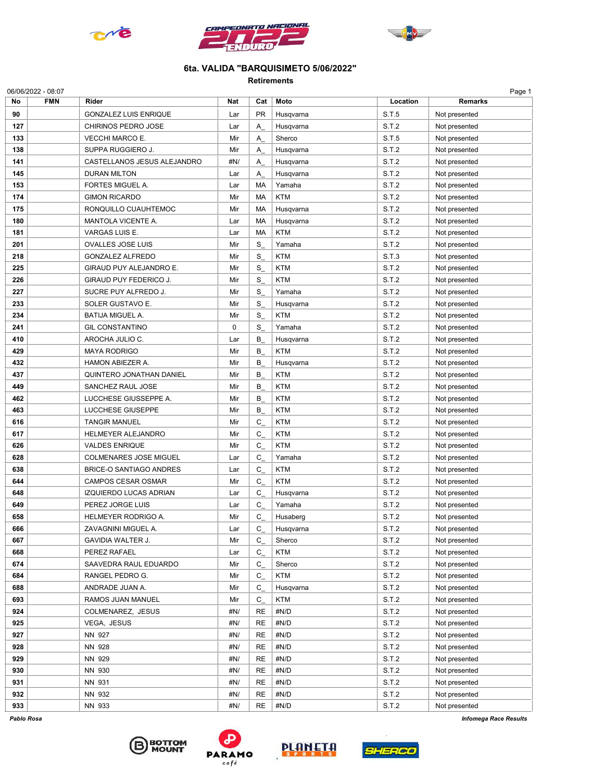





## 6ta. VALIDA "BARQUISIMETO 5/06/2022"

Retirements

| No  | <b>FMN</b> | Rider                          | Nat | Cat       | Moto       | Location | <b>Remarks</b> |
|-----|------------|--------------------------------|-----|-----------|------------|----------|----------------|
| 90  |            | <b>GONZALEZ LUIS ENRIQUE</b>   | Lar | <b>PR</b> | Husqvarna  | S.T.5    | Not presented  |
| 127 |            | CHIRINOS PEDRO JOSE            | Lar | Α         | Husqvarna  | S.T.2    | Not presented  |
| 133 |            | <b>VECCHI MARCO E.</b>         | Mir | Α         | Sherco     | S.T.5    | Not presented  |
| 138 |            | SUPPA RUGGIERO J.              | Mir | Α         | Husqvarna  | S.T.2    | Not presented  |
| 141 |            | CASTELLANOS JESUS ALEJANDRO    | #N/ | Α         | Husqvarna  | S.T.2    | Not presented  |
| 145 |            | <b>DURAN MILTON</b>            | Lar | Α         | Husqvarna  | S.T.2    | Not presented  |
| 153 |            | <b>FORTES MIGUEL A.</b>        | Lar | MA        | Yamaha     | S.T.2    | Not presented  |
| 174 |            | <b>GIMON RICARDO</b>           | Mir | MA        | <b>KTM</b> | S.T.2    | Not presented  |
| 175 |            |                                | Mir | MA        |            | S.T.2    | Not presented  |
|     |            | RONQUILLO CUAUHTEMOC           |     |           | Husqvarna  |          |                |
| 180 |            | MANTOLA VICENTE A.             | Lar | MA        | Husqvarna  | S.T.2    | Not presented  |
| 181 |            | VARGAS LUIS E.                 | Lar | MA        | <b>KTM</b> | S.T.2    | Not presented  |
| 201 |            | <b>OVALLES JOSE LUIS</b>       | Mir | S         | Yamaha     | S.T.2    | Not presented  |
| 218 |            | <b>GONZALEZ ALFREDO</b>        | Mir | S         | <b>KTM</b> | S.T.3    | Not presented  |
| 225 |            | GIRAUD PUY ALEJANDRO E.        | Mir | S         | <b>KTM</b> | S.T.2    | Not presented  |
| 226 |            | GIRAUD PUY FEDERICO J.         | Mir | S         | <b>KTM</b> | S.T.2    | Not presented  |
| 227 |            | SUCRE PUY ALFREDO J.           | Mir | S         | Yamaha     | S.T.2    | Not presented  |
| 233 |            | SOLER GUSTAVO E.               | Mir | S         | Husqvarna  | S.T.2    | Not presented  |
| 234 |            | <b>BATIJA MIGUEL A.</b>        | Mir | S         | <b>KTM</b> | S.T.2    | Not presented  |
| 241 |            | <b>GIL CONSTANTINO</b>         | 0   | S         | Yamaha     | S.T.2    | Not presented  |
| 410 |            | AROCHA JULIO C.                | Lar | В         | Husqvarna  | S.T.2    | Not presented  |
| 429 |            | <b>MAYA RODRIGO</b>            | Mir | В         | <b>KTM</b> | S.T.2    | Not presented  |
| 432 |            | HAMON ABIEZER A.               | Mir | В         | Husqvarna  | S.T.2    | Not presented  |
| 437 |            | QUINTERO JONATHAN DANIEL       | Mir | В         | <b>KTM</b> | S.T.2    | Not presented  |
| 449 |            | SANCHEZ RAUL JOSE              | Mir | В         | <b>KTM</b> | S.T.2    | Not presented  |
| 462 |            | LUCCHESE GIUSSEPPE A.          | Mir | В         | <b>KTM</b> | S.T.2    | Not presented  |
| 463 |            | LUCCHESE GIUSEPPE              | Mir | В         | <b>KTM</b> | S.T.2    | Not presented  |
| 616 |            | <b>TANGIR MANUEL</b>           | Mir | С         | <b>KTM</b> | S.T.2    | Not presented  |
| 617 |            | <b>HELMEYER ALEJANDRO</b>      | Mir | C         | <b>KTM</b> | S.T.2    | Not presented  |
| 626 |            | <b>VALDES ENRIQUE</b>          | Mir | C         | <b>KTM</b> | S.T.2    | Not presented  |
| 628 |            | COLMENARES JOSE MIGUEL         | Lar | C         | Yamaha     | S.T.2    | Not presented  |
| 638 |            | <b>BRICE-O SANTIAGO ANDRES</b> | Lar | C         | <b>KTM</b> | S.T.2    | Not presented  |
| 644 |            | <b>CAMPOS CESAR OSMAR</b>      | Mir | C         | <b>KTM</b> | S.T.2    | Not presented  |
| 648 |            | IZQUIERDO LUCAS ADRIAN         | Lar | C         | Husqvarna  | S.T.2    | Not presented  |
| 649 |            | PEREZ JORGE LUIS               | Lar | C         | Yamaha     | S.T.2    | Not presented  |
| 658 |            | HELMEYER RODRIGO A.            | Mir | C         | Husaberg   | S.T.2    | Not presented  |
| 666 |            | ZAVAGNINI MIGUEL A             | Lar | C.        |            |          |                |
|     |            | GAVIDIA WALTER J.              |     |           | Husqvarna  | S.T.2    | Not presented  |
| 667 |            |                                | Mir | C         | Sherco     | S.T.2    | Not presented  |
| 668 |            | PEREZ RAFAEL                   | Lar | С         | <b>KTM</b> | S.T.2    | Not presented  |
| 674 |            | SAAVEDRA RAUL EDUARDO          | Mir | C         | Sherco     | S.T.2    | Not presented  |
| 684 |            | RANGEL PEDRO G.                | Mir | С         | <b>KTM</b> | S.T.2    | Not presented  |
| 688 |            | ANDRADE JUAN A.                | Mir | C         | Husqvarna  | S.T.2    | Not presented  |
| 693 |            | RAMOS JUAN MANUEL              | Mir | С         | <b>KTM</b> | S.T.2    | Not presented  |
| 924 |            | COLMENAREZ, JESUS              | #N/ | RE        | #N/D       | S.T.2    | Not presented  |
| 925 |            | VEGA, JESUS                    | #N/ | <b>RE</b> | #N/D       | S.T.2    | Not presented  |
| 927 |            | NN 927                         | #N/ | <b>RE</b> | #N/D       | S.T.2    | Not presented  |
| 928 |            | NN 928                         | #N/ | <b>RE</b> | #N/D       | S.T.2    | Not presented  |
| 929 |            | NN 929                         | #N/ | <b>RE</b> | #N/D       | S.T.2    | Not presented  |
| 930 |            | NN 930                         | #N/ | <b>RE</b> | #N/D       | S.T.2    | Not presented  |
| 931 |            | NN 931                         | #N/ | <b>RE</b> | #N/D       | S.T.2    | Not presented  |
| 932 |            | NN 932                         | #N/ | <b>RE</b> | #N/D       | S.T.2    | Not presented  |
| 933 |            | NN 933                         | #N/ | <b>RE</b> | #N/D       | S.T.2    | Not presented  |







Pablo Rosa Infomega Race Results